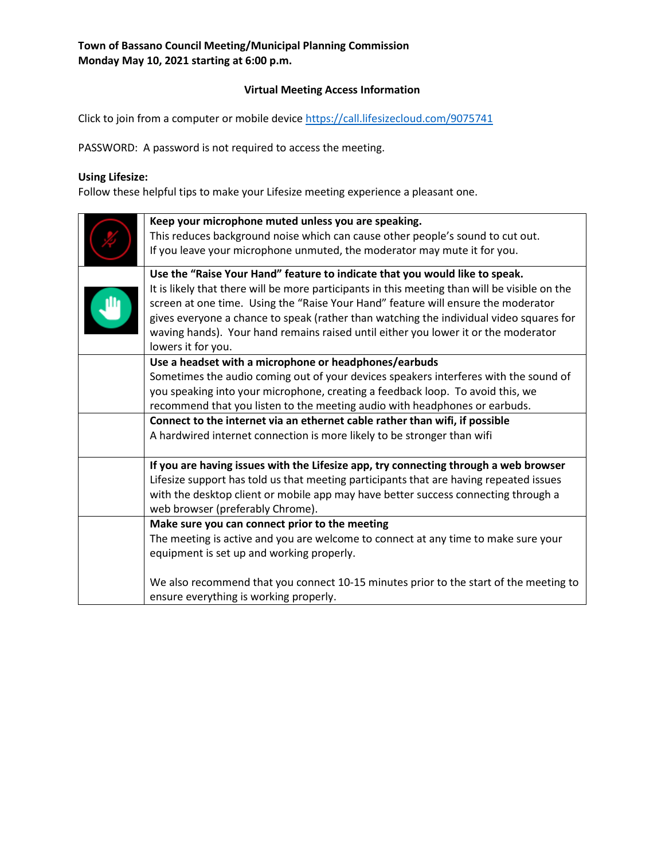### **Virtual Meeting Access Information**

Click to join from a computer or mobile device<https://call.lifesizecloud.com/9075741>

PASSWORD: A password is not required to access the meeting.

# **Using Lifesize:**

Follow these helpful tips to make your Lifesize meeting experience a pleasant one.

| Keep your microphone muted unless you are speaking.                                           |  |  |
|-----------------------------------------------------------------------------------------------|--|--|
| This reduces background noise which can cause other people's sound to cut out.                |  |  |
| If you leave your microphone unmuted, the moderator may mute it for you.                      |  |  |
| Use the "Raise Your Hand" feature to indicate that you would like to speak.                   |  |  |
| It is likely that there will be more participants in this meeting than will be visible on the |  |  |
| screen at one time. Using the "Raise Your Hand" feature will ensure the moderator             |  |  |
| gives everyone a chance to speak (rather than watching the individual video squares for       |  |  |
| waving hands). Your hand remains raised until either you lower it or the moderator            |  |  |
| lowers it for you.                                                                            |  |  |
| Use a headset with a microphone or headphones/earbuds                                         |  |  |
| Sometimes the audio coming out of your devices speakers interferes with the sound of          |  |  |
| you speaking into your microphone, creating a feedback loop. To avoid this, we                |  |  |
| recommend that you listen to the meeting audio with headphones or earbuds.                    |  |  |
| Connect to the internet via an ethernet cable rather than wifi, if possible                   |  |  |
| A hardwired internet connection is more likely to be stronger than wifi                       |  |  |
|                                                                                               |  |  |
| If you are having issues with the Lifesize app, try connecting through a web browser          |  |  |
| Lifesize support has told us that meeting participants that are having repeated issues        |  |  |
| with the desktop client or mobile app may have better success connecting through a            |  |  |
| web browser (preferably Chrome).                                                              |  |  |
| Make sure you can connect prior to the meeting                                                |  |  |
| The meeting is active and you are welcome to connect at any time to make sure your            |  |  |
| equipment is set up and working properly.                                                     |  |  |
|                                                                                               |  |  |
| We also recommend that you connect 10-15 minutes prior to the start of the meeting to         |  |  |
| ensure everything is working properly.                                                        |  |  |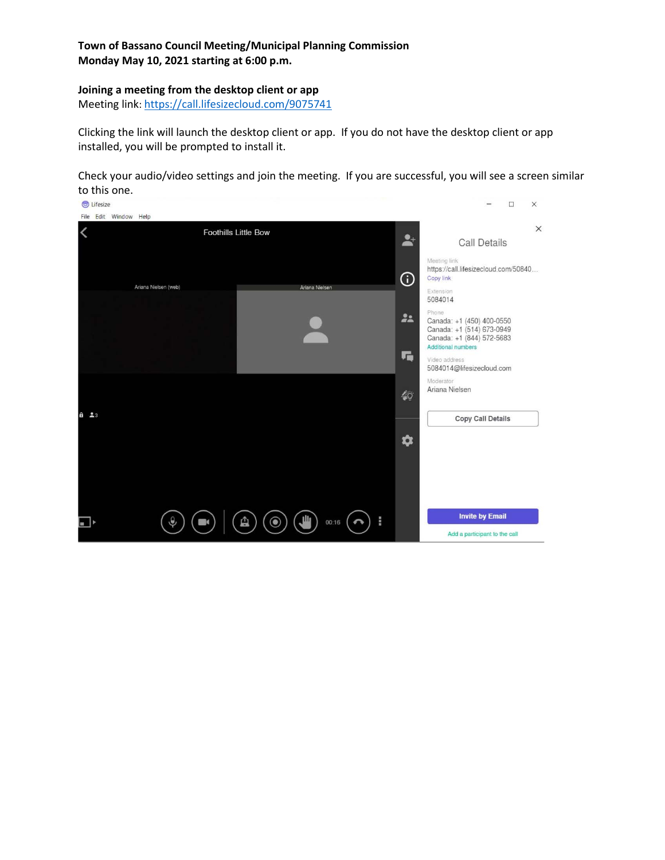#### **Joining a meeting from the desktop client or app**

Meeting link:<https://call.lifesizecloud.com/9075741>

Clicking the link will launch the desktop client or app. If you do not have the desktop client or app installed, you will be prompted to install it.

Check your audio/video settings and join the meeting. If you are successful, you will see a screen similar to this one.

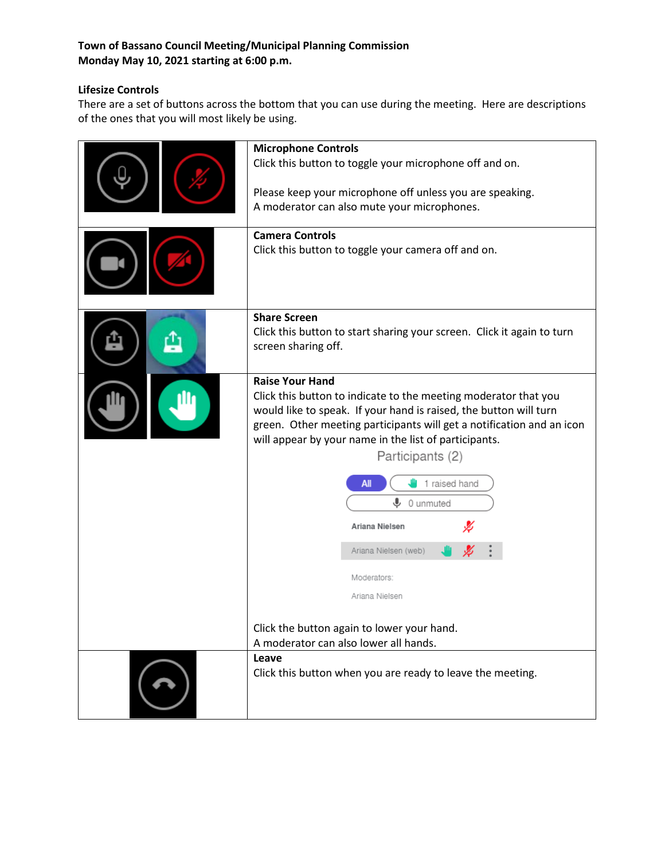# **Lifesize Controls**

There are a set of buttons across the bottom that you can use during the meeting. Here are descriptions of the ones that you will most likely be using.

| <b>Microphone Controls</b><br>Click this button to toggle your microphone off and on.<br>Please keep your microphone off unless you are speaking.<br>A moderator can also mute your microphones.<br><b>Camera Controls</b><br>Click this button to toggle your camera off and on.                                                                                                                                                                                                                                                |  |  |
|----------------------------------------------------------------------------------------------------------------------------------------------------------------------------------------------------------------------------------------------------------------------------------------------------------------------------------------------------------------------------------------------------------------------------------------------------------------------------------------------------------------------------------|--|--|
| <b>Share Screen</b><br>Click this button to start sharing your screen. Click it again to turn<br>screen sharing off.                                                                                                                                                                                                                                                                                                                                                                                                             |  |  |
| <b>Raise Your Hand</b><br>Click this button to indicate to the meeting moderator that you<br>would like to speak. If your hand is raised, the button will turn<br>green. Other meeting participants will get a notification and an icon<br>will appear by your name in the list of participants.<br>Participants (2)<br>1 raised hand<br>All<br>⋓<br>0 unmuted<br>Ariana Nielsen<br>Ariana Nielsen (web)<br>Moderators:<br>Ariana Nielsen<br>Click the button again to lower your hand.<br>A moderator can also lower all hands. |  |  |
| Leave<br>Click this button when you are ready to leave the meeting.                                                                                                                                                                                                                                                                                                                                                                                                                                                              |  |  |